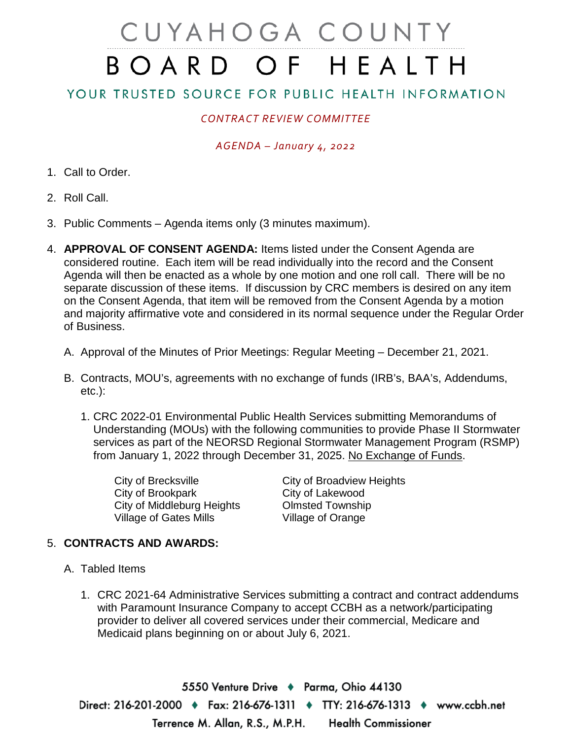# CUYAHOGA COUNTY BOARD OF HEALTH

## YOUR TRUSTED SOURCE FOR PUBLIC HEALTH INFORMATION

## *CONTRACT REVIEW COMMITTEE*

### *AGENDA – January 4, 2022*

- 1. Call to Order.
- 2. Roll Call.
- 3. Public Comments Agenda items only (3 minutes maximum).
- 4. **APPROVAL OF CONSENT AGENDA:** Items listed under the Consent Agenda are considered routine. Each item will be read individually into the record and the Consent Agenda will then be enacted as a whole by one motion and one roll call. There will be no separate discussion of these items. If discussion by CRC members is desired on any item on the Consent Agenda, that item will be removed from the Consent Agenda by a motion and majority affirmative vote and considered in its normal sequence under the Regular Order of Business.
	- A. Approval of the Minutes of Prior Meetings: Regular Meeting December 21, 2021.
	- B. Contracts, MOU's, agreements with no exchange of funds (IRB's, BAA's, Addendums, etc.):
		- 1. CRC 2022-01 Environmental Public Health Services submitting Memorandums of Understanding (MOUs) with the following communities to provide Phase II Stormwater services as part of the NEORSD Regional Stormwater Management Program (RSMP) from January 1, 2022 through December 31, 2025. No Exchange of Funds.

City of Brecksville<br>
City of Brookpark<br>
City of Lakewood<br>
City of Lakewood City of Brookpark City of Middleburg Heights Olmsted Township Village of Gates Mills Village of Orange

### 5. **CONTRACTS AND AWARDS:**

- A. Tabled Items
	- 1. CRC 2021-64 Administrative Services submitting a contract and contract addendums with Paramount Insurance Company to accept CCBH as a network/participating provider to deliver all covered services under their commercial, Medicare and Medicaid plans beginning on or about July 6, 2021.

5550 Venture Drive + Parma, Ohio 44130 Direct: 216-201-2000 ♦ Fax: 216-676-1311 ♦ TTY: 216-676-1313 ♦ www.ccbh.net Terrence M. Allan, R.S., M.P.H. **Health Commissioner**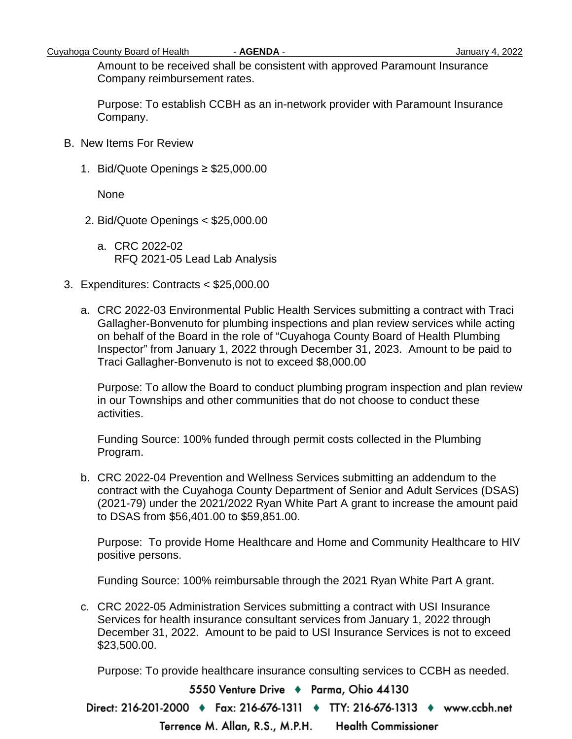Amount to be received shall be consistent with approved Paramount Insurance Company reimbursement rates.

Purpose: To establish CCBH as an in-network provider with Paramount Insurance Company.

- B. New Items For Review
	- 1. Bid/Quote Openings ≥ \$25,000.00

None

- 2. Bid/Quote Openings < \$25,000.00
	- a. CRC 2022-02 RFQ 2021-05 Lead Lab Analysis
- 3. Expenditures: Contracts < \$25,000.00
	- a. CRC 2022-03 Environmental Public Health Services submitting a contract with Traci Gallagher-Bonvenuto for plumbing inspections and plan review services while acting on behalf of the Board in the role of "Cuyahoga County Board of Health Plumbing Inspector" from January 1, 2022 through December 31, 2023. Amount to be paid to Traci Gallagher-Bonvenuto is not to exceed \$8,000.00

Purpose: To allow the Board to conduct plumbing program inspection and plan review in our Townships and other communities that do not choose to conduct these activities.

Funding Source: 100% funded through permit costs collected in the Plumbing Program.

b. CRC 2022-04 Prevention and Wellness Services submitting an addendum to the contract with the Cuyahoga County Department of Senior and Adult Services (DSAS) (2021-79) under the 2021/2022 Ryan White Part A grant to increase the amount paid to DSAS from \$56,401.00 to \$59,851.00.

Purpose: To provide Home Healthcare and Home and Community Healthcare to HIV positive persons.

Funding Source: 100% reimbursable through the 2021 Ryan White Part A grant.

c. CRC 2022-05 Administration Services submitting a contract with USI Insurance Services for health insurance consultant services from January 1, 2022 through December 31, 2022. Amount to be paid to USI Insurance Services is not to exceed \$23,500.00.

Purpose: To provide healthcare insurance consulting services to CCBH as needed.

5550 Venture Drive + Parma, Ohio 44130

Direct: 216-201-2000 ♦ Fax: 216-676-1311 ♦ TTY: 216-676-1313 ♦ www.ccbh.net

Terrence M. Allan, R.S., M.P.H. **Health Commissioner**